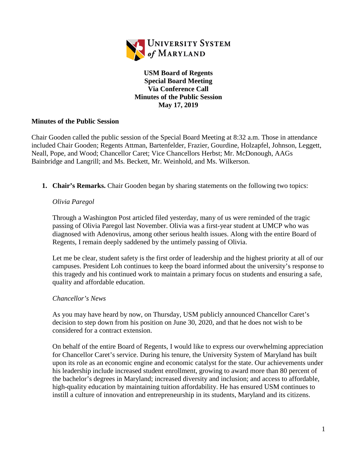

**USM Board of Regents Special Board Meeting Via Conference Call Minutes of the Public Session May 17, 2019**

## **Minutes of the Public Session**

Chair Gooden called the public session of the Special Board Meeting at 8:32 a.m. Those in attendance included Chair Gooden; Regents Attman, Bartenfelder, Frazier, Gourdine, Holzapfel, Johnson, Leggett, Neall, Pope, and Wood; Chancellor Caret; Vice Chancellors Herbst; Mr. McDonough, AAGs Bainbridge and Langrill; and Ms. Beckett, Mr. Weinhold, and Ms. Wilkerson.

**1. Chair's Remarks.** Chair Gooden began by sharing statements on the following two topics:

## *Olivia Paregol*

Through a Washington Post articled filed yesterday, many of us were reminded of the tragic passing of Olivia Paregol last November. Olivia was a first-year student at UMCP who was diagnosed with Adenovirus, among other serious health issues. Along with the entire Board of Regents, I remain deeply saddened by the untimely passing of Olivia.

Let me be clear, student safety is the first order of leadership and the highest priority at all of our campuses. President Loh continues to keep the board informed about the university's response to this tragedy and his continued work to maintain a primary focus on students and ensuring a safe, quality and affordable education.

## *Chancellor's News*

As you may have heard by now, on Thursday, USM publicly announced Chancellor Caret's decision to step down from his position on June 30, 2020, and that he does not wish to be considered for a contract extension.

On behalf of the entire Board of Regents, I would like to express our overwhelming appreciation for Chancellor Caret's service. During his tenure, the University System of Maryland has built upon its role as an economic engine and economic catalyst for the state. Our achievements under his leadership include increased student enrollment, growing to award more than 80 percent of the bachelor's degrees in Maryland; increased diversity and inclusion; and access to affordable, high-quality education by maintaining tuition affordability. He has ensured USM continues to instill a culture of innovation and entrepreneurship in its students, Maryland and its citizens.